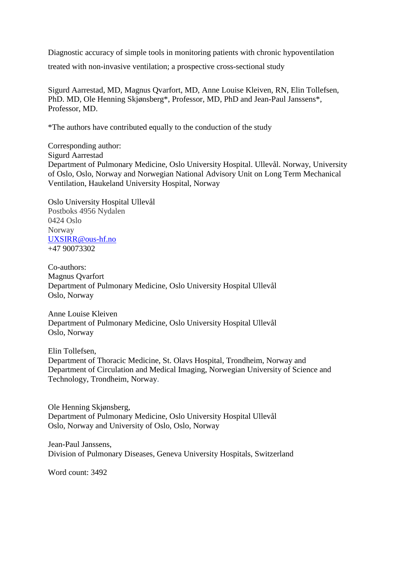Diagnostic accuracy of simple tools in monitoring patients with chronic hypoventilation

treated with non-invasive ventilation; a prospective cross-sectional study

Sigurd Aarrestad, MD, Magnus Qvarfort, MD, Anne Louise Kleiven, RN, Elin Tollefsen, PhD. MD, Ole Henning Skjønsberg\*, Professor, MD, PhD and Jean-Paul Janssens\*, Professor, MD.

\*The authors have contributed equally to the conduction of the study

Corresponding author: Sigurd Aarrestad Department of Pulmonary Medicine, Oslo University Hospital. Ullevål. Norway, University of Oslo, Oslo, Norway and Norwegian National Advisory Unit on Long Term Mechanical Ventilation, Haukeland University Hospital, Norway

Oslo University Hospital Ullevål Postboks 4956 Nydalen 0424 Oslo Norway UXSIRR@ous-hf.no +47 90073302

Co-authors: Magnus Qvarfort Department of Pulmonary Medicine, Oslo University Hospital Ullevål Oslo, Norway

Anne Louise Kleiven Department of Pulmonary Medicine, Oslo University Hospital Ullevål Oslo, Norway

Elin Tollefsen, Department of Thoracic Medicine, St. Olavs Hospital, Trondheim, Norway and Department of Circulation and Medical Imaging, Norwegian University of Science and Technology, Trondheim, Norway.

Ole Henning Skjønsberg, Department of Pulmonary Medicine, Oslo University Hospital Ullevål Oslo, Norway and University of Oslo, Oslo, Norway

Jean-Paul Janssens, Division of Pulmonary Diseases, Geneva University Hospitals, Switzerland

Word count: 3492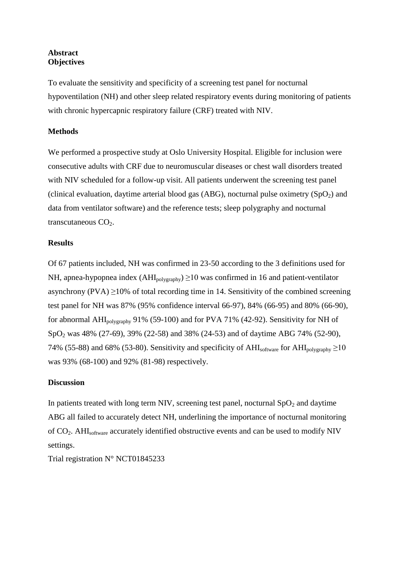# **Abstract Objectives**

To evaluate the sensitivity and specificity of a screening test panel for nocturnal hypoventilation (NH) and other sleep related respiratory events during monitoring of patients with chronic hypercapnic respiratory failure (CRF) treated with NIV.

# **Methods**

We performed a prospective study at Oslo University Hospital. Eligible for inclusion were consecutive adults with CRF due to neuromuscular diseases or chest wall disorders treated with NIV scheduled for a follow-up visit. All patients underwent the screening test panel (clinical evaluation, daytime arterial blood gas (ABG), nocturnal pulse oximetry  $(SpO<sub>2</sub>)$  and data from ventilator software) and the reference tests; sleep polygraphy and nocturnal transcutaneous  $CO<sub>2</sub>$ .

# **Results**

Of 67 patients included, NH was confirmed in 23-50 according to the 3 definitions used for NH, apnea-hypopnea index  $(AHI_{\text{polveraphv}}) \ge 10$  was confirmed in 16 and patient-ventilator asynchrony (PVA)  $\geq$ 10% of total recording time in 14. Sensitivity of the combined screening test panel for NH was 87% (95% confidence interval 66-97), 84% (66-95) and 80% (66-90), for abnormal AHIpolygraphy 91% (59-100) and for PVA 71% (42-92). Sensitivity for NH of SpO<sub>2</sub> was 48% (27-69), 39% (22-58) and 38% (24-53) and of daytime ABG 74% (52-90), 74% (55-88) and 68% (53-80). Sensitivity and specificity of AHI<sub>software</sub> for AHI<sub>nolygraphy</sub>  $\geq$ 10 was 93% (68-100) and 92% (81-98) respectively.

# **Discussion**

In patients treated with long term NIV, screening test panel, nocturnal  $SpO<sub>2</sub>$  and daytime ABG all failed to accurately detect NH, underlining the importance of nocturnal monitoring of CO2. AHIsoftware accurately identified obstructive events and can be used to modify NIV settings.

Trial registration N° NCT01845233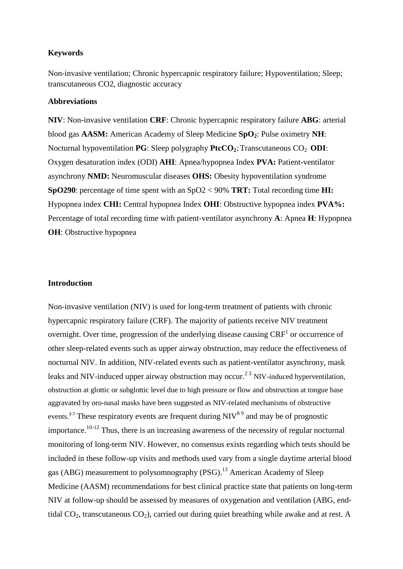### **Keywords**

Non-invasive ventilation; Chronic hypercapnic respiratory failure; Hypoventilation; Sleep; transcutaneous CO2, diagnostic accuracy

## **Abbreviations**

**NIV**: Non-invasive ventilation **CRF**: Chronic hypercapnic respiratory failure **ABG**: arterial blood gas **AASM:** American Academy of Sleep Medicine **SpO2**: Pulse oximetry **NH**: Nocturnal hypoventilation **PG**: Sleep polygraphy **PtcCO**<sub>2</sub>: Transcutaneous CO<sub>2</sub> **ODI**: Oxygen desaturation index (ODI) **AHI**: Apnea/hypopnea Index **PVA:** Patient-ventilator asynchrony **NMD:** Neuromuscular diseases **OHS:** Obesity hypoventilation syndrome **SpO290**: percentage of time spent with an SpO2 < 90% **TRT:** Total recording time **HI:**  Hypopnea index **CHI:** Central hypopnea Index **OHI**: Obstructive hypopnea index **PVA%:** Percentage of total recording time with patient-ventilator asynchrony **A**: Apnea **H**: Hypopnea **OH**: Obstructive hypopnea

### **Introduction**

Non-invasive ventilation (NIV) is used for long-term treatment of patients with chronic hypercapnic respiratory failure (CRF). The majority of patients receive NIV treatment overnight. Over time, progression of the underlying disease causing  $CRF<sup>1</sup>$  or occurrence of other sleep-related events such as upper airway obstruction, may reduce the effectiveness of nocturnal NIV. In addition, NIV-related events such as patient-ventilator asynchrony, mask leaks and NIV-induced upper airway obstruction may occur.<sup>23</sup> NIV-induced hyperventilation, obstruction at glottic or subglottic level due to high pressure or flow and obstruction at tongue base aggravated by oro-nasal masks have been suggested as NIV-related mechanisms of obstructive events.<sup>3-7</sup> These respiratory events are frequent during  $NIV<sup>89</sup>$  and may be of prognostic importance.<sup>10-12</sup> Thus, there is an increasing awareness of the necessity of regular nocturnal monitoring of long-term NIV. However, no consensus exists regarding which tests should be included in these follow-up visits and methods used vary from a single daytime arterial blood gas (ABG) measurement to polysomnography (PSG).<sup>13</sup> American Academy of Sleep Medicine (AASM) recommendations for best clinical practice state that patients on long-term NIV at follow-up should be assessed by measures of oxygenation and ventilation (ABG, endtidal  $CO_2$ , transcutaneous  $CO_2$ ), carried out during quiet breathing while awake and at rest. A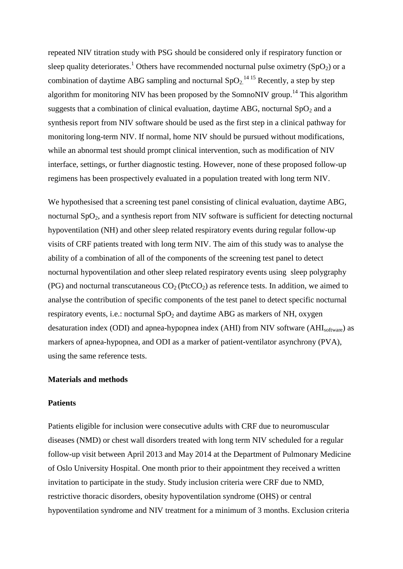repeated NIV titration study with PSG should be considered only if respiratory function or sleep quality deteriorates.<sup>1</sup> Others have recommended nocturnal pulse oximetry (SpO<sub>2</sub>) or a combination of daytime ABG sampling and nocturnal  $SpO_2$ <sup>14 15</sup> Recently, a step by step algorithm for monitoring NIV has been proposed by the SomnoNIV group.<sup>14</sup> This algorithm suggests that a combination of clinical evaluation, daytime ABG, nocturnal  $SpO<sub>2</sub>$  and a synthesis report from NIV software should be used as the first step in a clinical pathway for monitoring long-term NIV. If normal, home NIV should be pursued without modifications, while an abnormal test should prompt clinical intervention, such as modification of NIV interface, settings, or further diagnostic testing. However, none of these proposed follow-up regimens has been prospectively evaluated in a population treated with long term NIV.

We hypothesised that a screening test panel consisting of clinical evaluation, daytime ABG, nocturnal SpO<sub>2</sub>, and a synthesis report from NIV software is sufficient for detecting nocturnal hypoventilation (NH) and other sleep related respiratory events during regular follow-up visits of CRF patients treated with long term NIV. The aim of this study was to analyse the ability of a combination of all of the components of the screening test panel to detect nocturnal hypoventilation and other sleep related respiratory events using sleep polygraphy (PG) and nocturnal transcutaneous  $CO<sub>2</sub>$  (PtcCO<sub>2</sub>) as reference tests. In addition, we aimed to analyse the contribution of specific components of the test panel to detect specific nocturnal respiratory events, i.e.: nocturnal  $SpO<sub>2</sub>$  and daytime ABG as markers of NH, oxygen desaturation index (ODI) and apnea-hypopnea index (AHI) from NIV software (AHI<sub>software</sub>) as markers of apnea-hypopnea, and ODI as a marker of patient-ventilator asynchrony (PVA), using the same reference tests.

### **Materials and methods**

### **Patients**

Patients eligible for inclusion were consecutive adults with CRF due to neuromuscular diseases (NMD) or chest wall disorders treated with long term NIV scheduled for a regular follow-up visit between April 2013 and May 2014 at the Department of Pulmonary Medicine of Oslo University Hospital. One month prior to their appointment they received a written invitation to participate in the study. Study inclusion criteria were CRF due to NMD, restrictive thoracic disorders, obesity hypoventilation syndrome (OHS) or central hypoventilation syndrome and NIV treatment for a minimum of 3 months. Exclusion criteria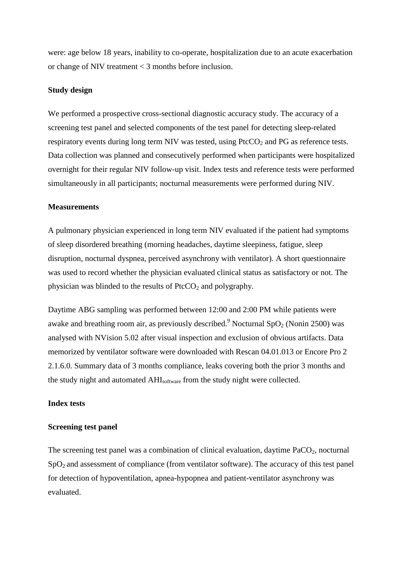were: age below 18 years, inability to co-operate, hospitalization due to an acute exacerbation or change of NIV treatment < 3 months before inclusion.

### **Study design**

We performed a prospective cross-sectional diagnostic accuracy study. The accuracy of a screening test panel and selected components of the test panel for detecting sleep-related respiratory events during long term NIV was tested, using  $PtcCO<sub>2</sub>$  and PG as reference tests. Data collection was planned and consecutively performed when participants were hospitalized overnight for their regular NIV follow-up visit. Index tests and reference tests were performed simultaneously in all participants; nocturnal measurements were performed during NIV.

#### **Measurements**

A pulmonary physician experienced in long term NIV evaluated if the patient had symptoms of sleep disordered breathing (morning headaches, daytime sleepiness, fatigue, sleep disruption, nocturnal dyspnea, perceived asynchrony with ventilator). A short questionnaire was used to record whether the physician evaluated clinical status as satisfactory or not. The physician was blinded to the results of  $P<sub>t</sub>CCO<sub>2</sub>$  and polygraphy.

Daytime ABG sampling was performed between 12:00 and 2:00 PM while patients were awake and breathing room air, as previously described.<sup>9</sup> Nocturnal SpO<sub>2</sub> (Nonin 2500) was analysed with NVision 5.02 after visual inspection and exclusion of obvious artifacts. Data memorized by ventilator software were downloaded with Rescan 04.01.013 or Encore Pro 2 2.1.6.0. Summary data of 3 months compliance, leaks covering both the prior 3 months and the study night and automated AHIsoftware from the study night were collected.

### **Index tests**

### **Screening test panel**

The screening test panel was a combination of clinical evaluation, daytime  $PaCO<sub>2</sub>$ , nocturnal  $SpO<sub>2</sub>$  and assessment of compliance (from ventilator software). The accuracy of this test panel for detection of hypoventilation, apnea-hypopnea and patient-ventilator asynchrony was evaluated.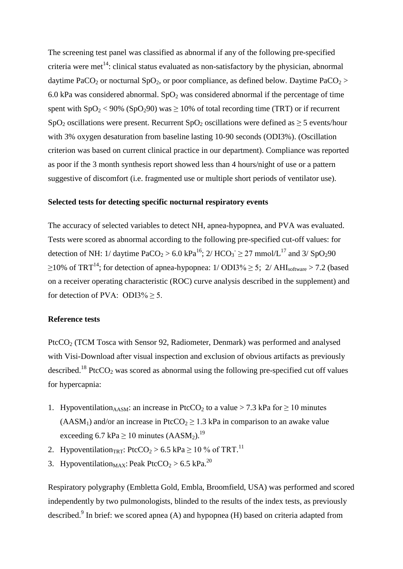The screening test panel was classified as abnormal if any of the following pre-specified criteria were met<sup>14</sup>: clinical status evaluated as non-satisfactory by the physician, abnormal daytime PaCO<sub>2</sub> or nocturnal SpO<sub>2</sub>, or poor compliance, as defined below. Daytime PaCO<sub>2</sub> > 6.0 kPa was considered abnormal. SpO<sub>2</sub> was considered abnormal if the percentage of time spent with  $SpO_2 < 90\%$  (SpO<sub>2</sub>90) was  $\geq 10\%$  of total recording time (TRT) or if recurrent SpO<sub>2</sub> oscillations were present. Recurrent SpO<sub>2</sub> oscillations were defined as  $>$  5 events/hour with 3% oxygen desaturation from baseline lasting 10-90 seconds (ODI3%). (Oscillation criterion was based on current clinical practice in our department). Compliance was reported as poor if the 3 month synthesis report showed less than 4 hours/night of use or a pattern suggestive of discomfort (i.e. fragmented use or multiple short periods of ventilator use).

#### **Selected tests for detecting specific nocturnal respiratory events**

The accuracy of selected variables to detect NH, apnea-hypopnea, and PVA was evaluated. Tests were scored as abnormal according to the following pre-specified cut-off values: for detection of NH: 1/ daytime PaCO<sub>2</sub> > 6.0 kPa<sup>16</sup>; 2/ HCO<sub>3</sub><sup> $\geq$ </sup> 27 mmol/L<sup>17</sup> and 3/ SpO<sub>2</sub>90  $\geq$ 10% of TRT<sup>14</sup>; for detection of apnea-hypopnea: 1/ODI3%  $\geq$  5; 2/AHI<sub>software</sub>  $>$  7.2 (based on a receiver operating characteristic (ROC) curve analysis described in the supplement) and for detection of PVA: ODI3%  $\geq$  5.

#### **Reference tests**

PtcCO<sub>2</sub> (TCM Tosca with Sensor 92, Radiometer, Denmark) was performed and analysed with Visi-Download after visual inspection and exclusion of obvious artifacts as previously described.<sup>18</sup> PtcCO<sub>2</sub> was scored as abnormal using the following pre-specified cut off values for hypercapnia:

- 1. Hypoventilation<sub>AASM</sub>: an increase in PtcCO<sub>2</sub> to a value > 7.3 kPa for  $\geq$  10 minutes (AASM<sub>1</sub>) and/or an increase in PtcCO<sub>2</sub>  $\geq$  1.3 kPa in comparison to an awake value exceeding 6.7 kPa  $\geq$  10 minutes (AASM<sub>2</sub>).<sup>19</sup>
- 2. Hypoventilation<sub>TRT</sub>: PtcCO<sub>2</sub> > 6.5 kPa  $\geq$  10 % of TRT.<sup>11</sup>
- 3. Hypoventilation<sub>MAX</sub>: Peak PtcCO<sub>2</sub> > 6.5 kPa.<sup>20</sup>

Respiratory polygraphy (Embletta Gold, Embla, Broomfield, USA) was performed and scored independently by two pulmonologists, blinded to the results of the index tests, as previously described.<sup>9</sup> In brief: we scored apnea (A) and hypopnea (H) based on criteria adapted from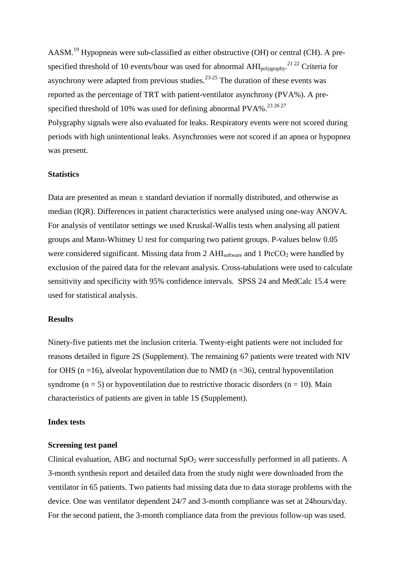AASM.<sup>19</sup> Hypopneas were sub-classified as either obstructive (OH) or central (CH). A prespecified threshold of 10 events/hour was used for abnormal  $AHI_{\text{polygraphy}}$ <sup>21 22</sup> Criteria for asynchrony were adapted from previous studies. $23-25$  The duration of these events was reported as the percentage of TRT with patient-ventilator asynchrony (PVA%). A prespecified threshold of 10% was used for defining abnormal PVA%.<sup>23 26 27</sup> Polygraphy signals were also evaluated for leaks. Respiratory events were not scored during periods with high unintentional leaks. Asynchronies were not scored if an apnea or hypopnea was present.

### **Statistics**

Data are presented as mean  $\pm$  standard deviation if normally distributed, and otherwise as median (IQR). Differences in patient characteristics were analysed using one-way ANOVA. For analysis of ventilator settings we used Kruskal-Wallis tests when analysing all patient groups and Mann-Whitney U test for comparing two patient groups. P-values below 0.05 were considered significant. Missing data from  $2$  AHI<sub>software</sub> and  $1$  PtcCO<sub>2</sub> were handled by exclusion of the paired data for the relevant analysis. Cross-tabulations were used to calculate sensitivity and specificity with 95% confidence intervals. SPSS 24 and MedCalc 15.4 were used for statistical analysis.

### **Results**

Ninety-five patients met the inclusion criteria. Twenty-eight patients were not included for reasons detailed in figure 2S (Supplement). The remaining 67 patients were treated with NIV for OHS ( $n = 16$ ), alveolar hypoventilation due to NMD ( $n = 36$ ), central hypoventilation syndrome ( $n = 5$ ) or hypoventilation due to restrictive thoracic disorders ( $n = 10$ ). Main characteristics of patients are given in table 1S (Supplement).

#### **Index tests**

#### **Screening test panel**

Clinical evaluation, ABG and nocturnal  $SpO<sub>2</sub>$  were successfully performed in all patients. A 3-month synthesis report and detailed data from the study night were downloaded from the ventilator in 65 patients. Two patients had missing data due to data storage problems with the device. One was ventilator dependent 24/7 and 3-month compliance was set at 24hours/day. For the second patient, the 3-month compliance data from the previous follow-up was used.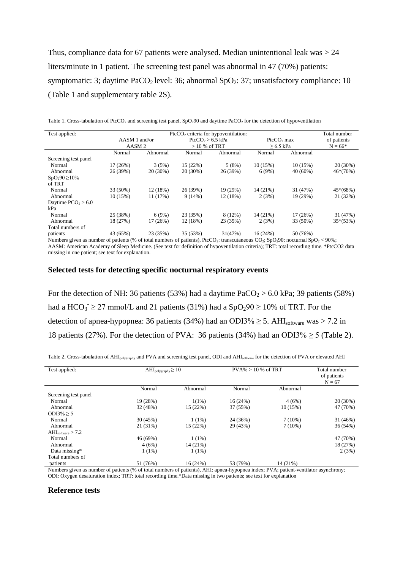Thus, compliance data for 67 patients were analysed. Median unintentional leak was  $> 24$ liters/minute in 1 patient. The screening test panel was abnormal in 47 (70%) patients: symptomatic: 3; daytime PaCO<sub>2</sub> level: 36; abnormal SpO<sub>2</sub>: 37; unsatisfactory compliance: 10 (Table 1 and supplementary table 2S).

| Table 1. Cross-tabulation of PtcCO <sub>2</sub> and screening test panel, SpO <sub>2</sub> 90 and daytime PaCO <sub>2</sub> for the detection of hypoventilation |  |  |  |  |
|------------------------------------------------------------------------------------------------------------------------------------------------------------------|--|--|--|--|
|------------------------------------------------------------------------------------------------------------------------------------------------------------------|--|--|--|--|

| Test applied:         | $\text{PtcCO}_2$ criteria for hypoventilation: |            |                    |               |              | Total number |             |
|-----------------------|------------------------------------------------|------------|--------------------|---------------|--------------|--------------|-------------|
|                       | $AASM1$ and/or                                 |            | $PtcCO2 > 6.5$ kPa |               | $Pt 0$ , max |              | of patients |
|                       | AASM <sub>2</sub>                              |            |                    | $>10%$ of TRT |              | $> 6.5$ kPa  |             |
|                       | Normal                                         | Abnormal   | Normal             | Abnormal      | Normal       | Abnormal     |             |
| Screening test panel  |                                                |            |                    |               |              |              |             |
| Normal                | 17(26%)                                        | 3(5%)      | 15(22%)            | 5(8%)         | 10(15%)      | 10(15%)      | 20 (30%)    |
| Abnormal              | 26 (39%)                                       | $20(30\%)$ | $20(30\%)$         | 26 (39%)      | 6(9%)        | $40(60\%)$   | $46*(70%)$  |
| $SpO_290 \ge 10\%$    |                                                |            |                    |               |              |              |             |
| of TRT                |                                                |            |                    |               |              |              |             |
| Normal                | 33 (50%)                                       | 12(18%)    | 26 (39%)           | 19 (29%)      | 14 (21%)     | 31 (47%)     | $45*(68%)$  |
| Abnormal              | 10(15%)                                        | 11 (17%)   | 9(14%)             | 12 (18%)      | 2(3%)        | 19 (29%)     | 21 (32%)    |
| Daytime $PCO_2 > 6.0$ |                                                |            |                    |               |              |              |             |
| kPa                   |                                                |            |                    |               |              |              |             |
| Normal                | 25 (38%)                                       | 6(9%)      | 23 (35%)           | 8(12%)        | 14 (21%)     | 17 (26%)     | 31 (47%)    |
| Abnormal              | 18 (27%)                                       | 17(26%)    | 12(18%)            | 23 (35%)      | 2(3%)        | 33 (50%)     | $35*(53%)$  |
| Total numbers of      |                                                |            |                    |               |              |              |             |
| patients              | 43 (65%)                                       | 23 (35%)   | 35 (53%)           | 31(47%)       | 16(24%)      | 50 (76%)     |             |

Numbers given as number of patients (% of total numbers of patients), PtcCO<sub>2</sub>: transcutaneous CO<sub>2</sub>; SpO<sub>2</sub>90: nocturnal SpO<sub>2</sub> < 90%;

AASM: American Academy of Sleep Medicine. (See text for definition of hypoventilation criteria); TRT: total recording time. \*PtcCO2 data missing in one patient; see text for explanation.

### **Selected tests for detecting specific nocturnal respiratory events**

For the detection of NH: 36 patients (53%) had a daytime  $PaCO<sub>2</sub> > 6.0$  kPa; 39 patients (58%) had a  $HCO_3 \ge 27$  mmol/L and 21 patients (31%) had a  $SpO_290 \ge 10\%$  of TRT. For the detection of apnea-hypopnea: 36 patients (34%) had an ODI3%  $\geq$  5. AHI<sub>software</sub> was  $>$  7.2 in 18 patients (27%). For the detection of PVA: 36 patients (34%) had an ODI3%  $\geq$  5 (Table 2).

| Table 2. Cross-tabulation of AHI <sub>polygraphy</sub> and PVA and screening test panel, ODI and AHI <sub>software</sub> for the detection of PVA or elevated AHI |  |  |  |  |
|-------------------------------------------------------------------------------------------------------------------------------------------------------------------|--|--|--|--|
|-------------------------------------------------------------------------------------------------------------------------------------------------------------------|--|--|--|--|

| Test applied:                 | $AHI_{\text{polygraphy}} \geq 10$ |            | $PVA\% > 10\%$ of TRT |           | Total number |  |
|-------------------------------|-----------------------------------|------------|-----------------------|-----------|--------------|--|
|                               |                                   |            |                       |           | of patients  |  |
|                               |                                   |            |                       |           | $N = 67$     |  |
|                               | Normal                            | Abnormal   | Normal                | Abnormal  |              |  |
| Screening test panel          |                                   |            |                       |           |              |  |
| Normal                        | 19 (28%)                          | $1(1\%)$   | 16(24%)               | 4(6%)     | 20 (30%)     |  |
| Abnormal                      | 32 (48%)                          | 15(22%)    | 37 (55%)              | 10(15%)   | 47 (70%)     |  |
| $ODI3\% > 5$                  |                                   |            |                       |           |              |  |
| Normal                        | 30 (45%)                          | $1(1\%)$   | 24 (36%)              | $7(10\%)$ | 31 (46%)     |  |
| Abnormal                      | 21 (31%)                          | 15(22%)    | 29 (43%)              | $7(10\%)$ | 36(54%)      |  |
| $AHI_{\text{software}} > 7.2$ |                                   |            |                       |           |              |  |
| Normal                        | 46 (69%)                          | $1(1\%)$   |                       |           | 47 (70%)     |  |
| Abnormal                      | 4(6%)                             | $14(21\%)$ |                       |           | 18 (27%)     |  |
| Data missing*                 | $1(1\%)$                          | $1(1\%)$   |                       |           | 2(3%)        |  |
| Total numbers of              |                                   |            |                       |           |              |  |
| patients                      | 51 (76%)                          | 16 (24%)   | 53 (79%)              | 14 (21%)  |              |  |

Numbers given as number of patients (% of total numbers of patients), AHI: apnea-hypopnea index; PVA; patient-ventilator asynchrony; ODI: Oxygen desaturation index; TRT: total recording time.\*Data missing in two patients; see text for explanation

#### **Reference tests**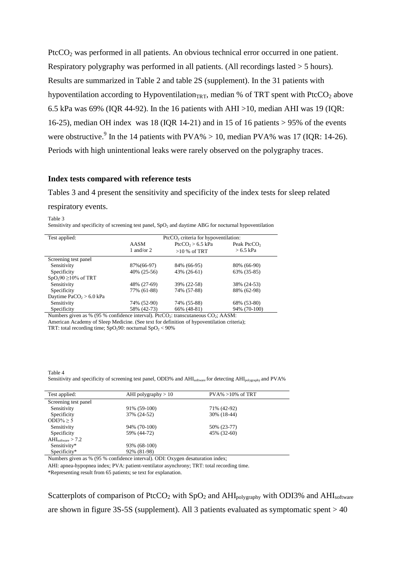PtcCO<sub>2</sub> was performed in all patients. An obvious technical error occurred in one patient. Respiratory polygraphy was performed in all patients. (All recordings lasted > 5 hours). Results are summarized in Table 2 and table 2S (supplement). In the 31 patients with hypoventilation according to Hypoventilation<sub>TRT</sub>, median % of TRT spent with PtcCO<sub>2</sub> above 6.5 kPa was 69% (IQR 44-92). In the 16 patients with AHI >10, median AHI was 19 (IQR: 16-25), median OH index was 18 (IOR 14-21) and in 15 of 16 patients  $> 95\%$  of the events were obstructive.<sup>9</sup> In the 14 patients with  $PVA\% > 10$ , median  $PVA\%$  was 17 (IQR: 14-26). Periods with high unintentional leaks were rarely observed on the polygraphy traces.

### **Index tests compared with reference tests**

Tables 3 and 4 present the sensitivity and specificity of the index tests for sleep related

#### respiratory events.

Table 3

Sensitivity and specificity of screening test panel, SpO<sub>2</sub> and daytime ABG for nocturnal hypoventilation

| Test applied:                             | $PtCCO2$ criteria for hypoventilation:                                                                                                                                                                                                                                                                                             |                      |                         |  |  |  |
|-------------------------------------------|------------------------------------------------------------------------------------------------------------------------------------------------------------------------------------------------------------------------------------------------------------------------------------------------------------------------------------|----------------------|-------------------------|--|--|--|
|                                           | AASM                                                                                                                                                                                                                                                                                                                               | $PtcCO2 > 6.5$ kPa   | Peak PtcCO <sub>2</sub> |  |  |  |
|                                           | 1 and/or $2$                                                                                                                                                                                                                                                                                                                       | $>10\%$ of TRT       | $> 6.5$ kPa             |  |  |  |
|                                           |                                                                                                                                                                                                                                                                                                                                    |                      |                         |  |  |  |
| Screening test panel                      |                                                                                                                                                                                                                                                                                                                                    |                      |                         |  |  |  |
| Sensitivity                               | 87%(66-97)                                                                                                                                                                                                                                                                                                                         | 84% (66-95)          | 80% (66-90)             |  |  |  |
| Specificity                               | 40% (25-56)                                                                                                                                                                                                                                                                                                                        | 43% (26-61)          | 63% (35-85)             |  |  |  |
| $SpO_290 \ge 10\%$ of TRT                 |                                                                                                                                                                                                                                                                                                                                    |                      |                         |  |  |  |
| Sensitivity                               | 48% (27-69)                                                                                                                                                                                                                                                                                                                        | 39% (22-58)          | 38% (24-53)             |  |  |  |
| Specificity                               | 77% (61-88)                                                                                                                                                                                                                                                                                                                        | 74% (57-88)          | 88% (62-98)             |  |  |  |
| Daytime PaCO $2$ > 6.0 kPa                |                                                                                                                                                                                                                                                                                                                                    |                      |                         |  |  |  |
| Sensitivity                               | 74% (52-90)                                                                                                                                                                                                                                                                                                                        | 74% (55-88)          | 68% (53-80)             |  |  |  |
| Specificity                               | 58% (42-73)                                                                                                                                                                                                                                                                                                                        | 66% (48-81)          | 94% (70-100)            |  |  |  |
| $\mathbf{r}$ and $\mathbf{r}$<br>$\sim$ 1 | $\mathbf{r}$ $\mathbf{r}$ $\mathbf{r}$ $\mathbf{r}$ $\mathbf{r}$ $\mathbf{r}$ $\mathbf{r}$ $\mathbf{r}$ $\mathbf{r}$ $\mathbf{r}$ $\mathbf{r}$ $\mathbf{r}$ $\mathbf{r}$ $\mathbf{r}$ $\mathbf{r}$ $\mathbf{r}$ $\mathbf{r}$ $\mathbf{r}$ $\mathbf{r}$ $\mathbf{r}$ $\mathbf{r}$ $\mathbf{r}$ $\mathbf{r}$ $\mathbf{r}$ $\mathbf{$ | $\sim$ $\sim$ $\sim$ |                         |  |  |  |

Numbers given as % (95 % confidence interval). PtcCO<sub>2</sub>: transcutaneous CO<sub>2</sub>; AASM:

American Academy of Sleep Medicine. (See text for definition of hypoventilation criteria); TRT: total recording time;  $\text{SpO}_2$ 90: nocturnal SpO<sub>2</sub> < 90%

Table 4

Sensitivity and specificity of screening test panel, ODI3% and AHI<sub>software</sub> for detecting AHI<sub>polygraphy</sub> and PVA%

| Test applied:                        | AHI polygraphy $> 10$                                                                                                                                                                                                                                                                                                                                                                                                                                      | $PVA\% > 10\%$ of TRT |  |
|--------------------------------------|------------------------------------------------------------------------------------------------------------------------------------------------------------------------------------------------------------------------------------------------------------------------------------------------------------------------------------------------------------------------------------------------------------------------------------------------------------|-----------------------|--|
| Screening test panel                 |                                                                                                                                                                                                                                                                                                                                                                                                                                                            |                       |  |
| Sensitivity                          | 91% (59-100)                                                                                                                                                                                                                                                                                                                                                                                                                                               | 71% (42-92)           |  |
| Specificity                          | 37% (24-52)                                                                                                                                                                                                                                                                                                                                                                                                                                                | 30% (18-44)           |  |
| ODI3\% > 5                           |                                                                                                                                                                                                                                                                                                                                                                                                                                                            |                       |  |
| Sensitivity                          | 94% (70-100)                                                                                                                                                                                                                                                                                                                                                                                                                                               | 50% (23-77)           |  |
| Specificity                          | 59% (44-72)                                                                                                                                                                                                                                                                                                                                                                                                                                                | 45% (32-60)           |  |
| $\text{AHI}_{\text{software}} > 7.2$ |                                                                                                                                                                                                                                                                                                                                                                                                                                                            |                       |  |
| Sensitivity*                         | 93% (68-100)                                                                                                                                                                                                                                                                                                                                                                                                                                               |                       |  |
| Specificity*                         | 92% (81-98)                                                                                                                                                                                                                                                                                                                                                                                                                                                |                       |  |
|                                      | $\mathbf{M} = \mathbf{1} \quad \mathbf{M} = \mathbf{M} \quad \mathbf{M} = \mathbf{M} \quad \mathbf{M} = \mathbf{M} \quad \mathbf{M} = \mathbf{M} \quad \mathbf{M} = \mathbf{M} \quad \mathbf{M} = \mathbf{M} \quad \mathbf{M} = \mathbf{M} \quad \mathbf{M} = \mathbf{M} \quad \mathbf{M} = \mathbf{M} \quad \mathbf{M} = \mathbf{M} \quad \mathbf{M} = \mathbf{M} \quad \mathbf{M} = \mathbf{M} \quad \mathbf{M} = \mathbf{M} \quad \mathbf{M} = \mathbf$ |                       |  |

Numbers given as % (95 % confidence interval). ODI: Oxygen desaturation index;

AHI: apnea-hypopnea index; PVA: patient-ventilator asynchrony; TRT: total recording time.

\*Representing result from 65 patients; se text for explanation.

Scatterplots of comparison of PtcCO<sub>2</sub> with  $SpO<sub>2</sub>$  and  $AHI<sub>polygraphy</sub>$  with ODI3% and  $AHI<sub>software</sub>$ are shown in figure  $3S-5S$  (supplement). All 3 patients evaluated as symptomatic spent  $> 40$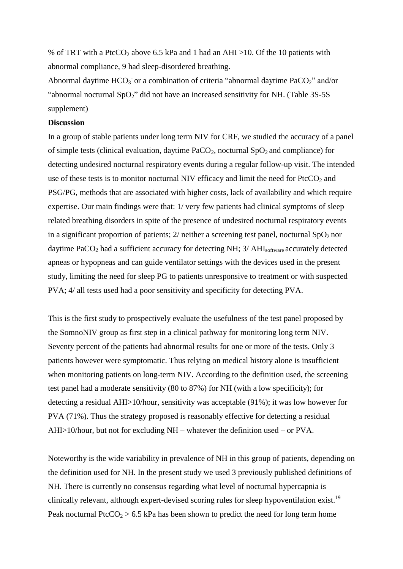% of TRT with a PtcCO<sub>2</sub> above 6.5 kPa and 1 had an AHI >10. Of the 10 patients with abnormal compliance, 9 had sleep-disordered breathing.

Abnormal daytime  $HCO_3$  or a combination of criteria "abnormal daytime  $PaCO_2$ " and/or "abnormal nocturnal  $SpO<sub>2</sub>$ " did not have an increased sensitivity for NH. (Table 3S-5S) supplement)

## **Discussion**

In a group of stable patients under long term NIV for CRF, we studied the accuracy of a panel of simple tests (clinical evaluation, daytime  $PaCO<sub>2</sub>$ , nocturnal  $SpO<sub>2</sub>$  and compliance) for detecting undesired nocturnal respiratory events during a regular follow-up visit. The intended use of these tests is to monitor nocturnal NIV efficacy and limit the need for  $P<sub>t</sub>CCO<sub>2</sub>$  and PSG/PG, methods that are associated with higher costs, lack of availability and which require expertise. Our main findings were that: 1/ very few patients had clinical symptoms of sleep related breathing disorders in spite of the presence of undesired nocturnal respiratory events in a significant proportion of patients;  $2/$  neither a screening test panel, nocturnal  $SpO<sub>2</sub>$  nor daytime  $PaCO<sub>2</sub>$  had a sufficient accuracy for detecting NH;  $3/ AHI<sub>software</sub>$  accurately detected apneas or hypopneas and can guide ventilator settings with the devices used in the present study, limiting the need for sleep PG to patients unresponsive to treatment or with suspected PVA; 4/ all tests used had a poor sensitivity and specificity for detecting PVA.

This is the first study to prospectively evaluate the usefulness of the test panel proposed by the SomnoNIV group as first step in a clinical pathway for monitoring long term NIV. Seventy percent of the patients had abnormal results for one or more of the tests. Only 3 patients however were symptomatic. Thus relying on medical history alone is insufficient when monitoring patients on long-term NIV. According to the definition used, the screening test panel had a moderate sensitivity (80 to 87%) for NH (with a low specificity); for detecting a residual AHI>10/hour, sensitivity was acceptable (91%); it was low however for PVA (71%). Thus the strategy proposed is reasonably effective for detecting a residual AHI>10/hour, but not for excluding NH – whatever the definition used – or PVA.

Noteworthy is the wide variability in prevalence of NH in this group of patients, depending on the definition used for NH. In the present study we used 3 previously published definitions of NH. There is currently no consensus regarding what level of nocturnal hypercapnia is clinically relevant, although expert-devised scoring rules for sleep hypoventilation exist.<sup>19</sup> Peak nocturnal PtcCO<sub>2</sub> > 6.5 kPa has been shown to predict the need for long term home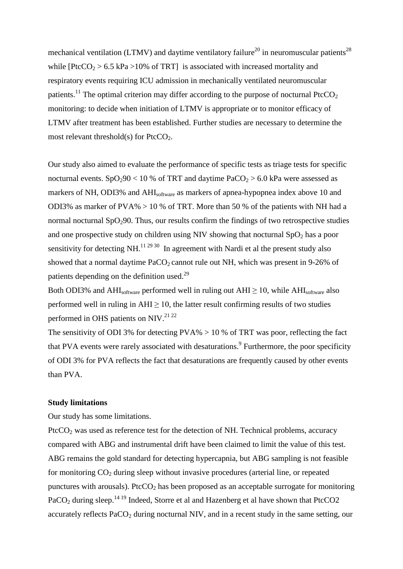mechanical ventilation (LTMV) and daytime ventilatory failure<sup>20</sup> in neuromuscular patients<sup>28</sup> while  $[PtcCO<sub>2</sub> > 6.5 kPa > 10%$  of TRT] is associated with increased mortality and respiratory events requiring ICU admission in mechanically ventilated neuromuscular patients.<sup>11</sup> The optimal criterion may differ according to the purpose of nocturnal PtcCO<sub>2</sub> monitoring: to decide when initiation of LTMV is appropriate or to monitor efficacy of LTMV after treatment has been established. Further studies are necessary to determine the most relevant threshold(s) for  $PtcCO<sub>2</sub>$ .

Our study also aimed to evaluate the performance of specific tests as triage tests for specific nocturnal events.  $SpO_290 < 10$  % of TRT and daytime  $PaCO_2 > 6.0$  kPa were assessed as markers of NH, ODI3% and AHIsoftware as markers of apnea-hypopnea index above 10 and ODI3% as marker of  $PVA\% > 10$  % of TRT. More than 50 % of the patients with NH had a normal nocturnal  $SpO<sub>2</sub>90$ . Thus, our results confirm the findings of two retrospective studies and one prospective study on children using NIV showing that nocturnal  $SpO<sub>2</sub>$  has a poor sensitivity for detecting NH. $^{11\,29\,30}$  In agreement with Nardi et al the present study also showed that a normal daytime  $PaCO<sub>2</sub>$  cannot rule out NH, which was present in 9-26% of patients depending on the definition used.<sup>29</sup>

Both ODI3% and AHI<sub>software</sub> performed well in ruling out  $AHI \geq 10$ , while AHI<sub>software</sub> also performed well in ruling in  $AHI \geq 10$ , the latter result confirming results of two studies performed in OHS patients on NIV.<sup>21 22</sup>

The sensitivity of ODI 3% for detecting  $PVA\% > 10$  % of TRT was poor, reflecting the fact that PVA events were rarely associated with desaturations.<sup>9</sup> Furthermore, the poor specificity of ODI 3% for PVA reflects the fact that desaturations are frequently caused by other events than PVA.

### **Study limitations**

Our study has some limitations.

Ptc $CO<sub>2</sub>$  was used as reference test for the detection of NH. Technical problems, accuracy compared with ABG and instrumental drift have been claimed to limit the value of this test. ABG remains the gold standard for detecting hypercapnia, but ABG sampling is not feasible for monitoring  $CO<sub>2</sub>$  during sleep without invasive procedures (arterial line, or repeated punctures with arousals). Ptc $CO<sub>2</sub>$  has been proposed as an acceptable surrogate for monitoring PaCO<sub>2</sub> during sleep.<sup>14 19</sup> Indeed, Storre et al and Hazenberg et al have shown that PtcCO2 accurately reflects  $PaCO<sub>2</sub>$  during nocturnal NIV, and in a recent study in the same setting, our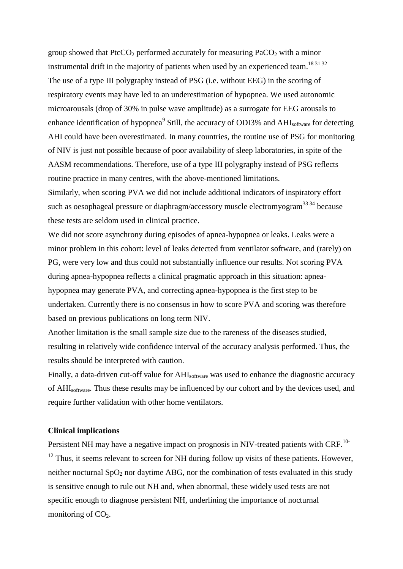group showed that PtcCO<sub>2</sub> performed accurately for measuring PaCO<sub>2</sub> with a minor instrumental drift in the majority of patients when used by an experienced team.<sup>18 31 32</sup> The use of a type III polygraphy instead of PSG (i.e. without EEG) in the scoring of respiratory events may have led to an underestimation of hypopnea. We used autonomic microarousals (drop of 30% in pulse wave amplitude) as a surrogate for EEG arousals to enhance identification of hypopnea<sup>9</sup> Still, the accuracy of ODI3% and AHI<sub>software</sub> for detecting AHI could have been overestimated. In many countries, the routine use of PSG for monitoring of NIV is just not possible because of poor availability of sleep laboratories, in spite of the AASM recommendations. Therefore, use of a type III polygraphy instead of PSG reflects routine practice in many centres, with the above-mentioned limitations.

Similarly, when scoring PVA we did not include additional indicators of inspiratory effort such as oesophageal pressure or diaphragm/accessory muscle electromyogram<sup>33 34</sup> because these tests are seldom used in clinical practice.

We did not score asynchrony during episodes of apnea-hypopnea or leaks. Leaks were a minor problem in this cohort: level of leaks detected from ventilator software, and (rarely) on PG, were very low and thus could not substantially influence our results. Not scoring PVA during apnea-hypopnea reflects a clinical pragmatic approach in this situation: apneahypopnea may generate PVA, and correcting apnea-hypopnea is the first step to be undertaken. Currently there is no consensus in how to score PVA and scoring was therefore based on previous publications on long term NIV.

Another limitation is the small sample size due to the rareness of the diseases studied, resulting in relatively wide confidence interval of the accuracy analysis performed. Thus, the results should be interpreted with caution.

Finally, a data-driven cut-off value for AHI<sub>software</sub> was used to enhance the diagnostic accuracy of AHIsoftware. Thus these results may be influenced by our cohort and by the devices used, and require further validation with other home ventilators.

### **Clinical implications**

Persistent NH may have a negative impact on prognosis in NIV-treated patients with CRF.<sup>10-</sup>  $12$  Thus, it seems relevant to screen for NH during follow up visits of these patients. However, neither nocturnal  $SpO<sub>2</sub>$  nor daytime ABG, nor the combination of tests evaluated in this study is sensitive enough to rule out NH and, when abnormal, these widely used tests are not specific enough to diagnose persistent NH, underlining the importance of nocturnal monitoring of  $CO<sub>2</sub>$ .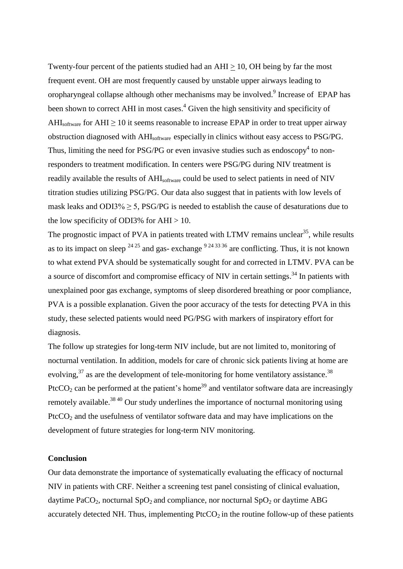Twenty-four percent of the patients studied had an  $AHI \geq 10$ , OH being by far the most frequent event. OH are most frequently caused by unstable upper airways leading to oropharyngeal collapse although other mechanisms may be involved.<sup>9</sup> Increase of EPAP has been shown to correct AHI in most cases.<sup>4</sup> Given the high sensitivity and specificity of AHI<sub>software</sub> for AHI  $\geq$  10 it seems reasonable to increase EPAP in order to treat upper airway obstruction diagnosed with AHIsoftware especially in clinics without easy access to PSG/PG. Thus, limiting the need for PSG/PG or even invasive studies such as endoscopy<sup>4</sup> to nonresponders to treatment modification. In centers were PSG/PG during NIV treatment is readily available the results of AHI<sub>software</sub> could be used to select patients in need of NIV titration studies utilizing PSG/PG. Our data also suggest that in patients with low levels of mask leaks and ODI3% ≥ 5, PSG/PG is needed to establish the cause of desaturations due to the low specificity of ODI3% for  $AHI > 10$ .

The prognostic impact of PVA in patients treated with LTMV remains unclear<sup>35</sup>, while results as to its impact on sleep  $^{24\,25}$  and gas- exchange  $^{9\,24\,33\,36}$  are conflicting. Thus, it is not known to what extend PVA should be systematically sought for and corrected in LTMV. PVA can be a source of discomfort and compromise efficacy of NIV in certain settings.<sup>34</sup> In patients with unexplained poor gas exchange, symptoms of sleep disordered breathing or poor compliance, PVA is a possible explanation. Given the poor accuracy of the tests for detecting PVA in this study, these selected patients would need PG/PSG with markers of inspiratory effort for diagnosis.

The follow up strategies for long-term NIV include, but are not limited to, monitoring of nocturnal ventilation. In addition, models for care of chronic sick patients living at home are evolving,  $37$  as are the development of tele-monitoring for home ventilatory assistance.<sup>38</sup> PtcCO<sub>2</sub> can be performed at the patient's home<sup>39</sup> and ventilator software data are increasingly remotely available.38 40 Our study underlines the importance of nocturnal monitoring using  $PicCO<sub>2</sub>$  and the usefulness of ventilator software data and may have implications on the development of future strategies for long-term NIV monitoring.

### **Conclusion**

Our data demonstrate the importance of systematically evaluating the efficacy of nocturnal NIV in patients with CRF. Neither a screening test panel consisting of clinical evaluation, daytime PaCO<sub>2</sub>, nocturnal SpO<sub>2</sub> and compliance, nor nocturnal SpO<sub>2</sub> or daytime ABG accurately detected NH. Thus, implementing  $P<sub>t</sub>  $CCO<sub>2</sub>$  in the routine follow-up of these patients$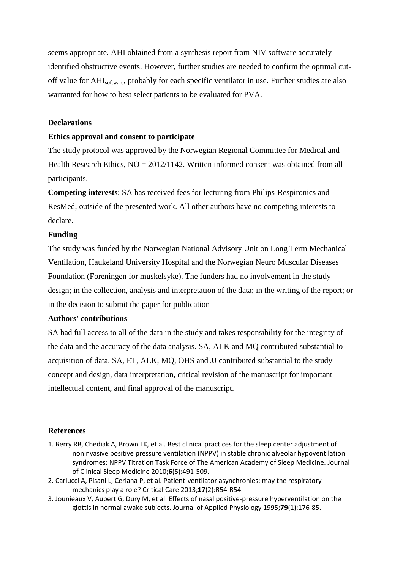seems appropriate. AHI obtained from a synthesis report from NIV software accurately identified obstructive events. However, further studies are needed to confirm the optimal cutoff value for AHIsoftware, probably for each specific ventilator in use. Further studies are also warranted for how to best select patients to be evaluated for PVA.

## **Declarations**

### **Ethics approval and consent to participate**

The study protocol was approved by the Norwegian Regional Committee for Medical and Health Research Ethics,  $NO = 2012/1142$ . Written informed consent was obtained from all participants.

**Competing interests**: SA has received fees for lecturing from Philips-Respironics and ResMed, outside of the presented work. All other authors have no competing interests to declare.

### **Funding**

The study was funded by the Norwegian National Advisory Unit on Long Term Mechanical Ventilation, Haukeland University Hospital and the Norwegian Neuro Muscular Diseases Foundation (Foreningen for muskelsyke). The funders had no involvement in the study design; in the collection, analysis and interpretation of the data; in the writing of the report; or in the decision to submit the paper for publication

# **Authors' contributions**

SA had full access to all of the data in the study and takes responsibility for the integrity of the data and the accuracy of the data analysis. SA, ALK and MQ contributed substantial to acquisition of data. SA, ET, ALK, MQ, OHS and JJ contributed substantial to the study concept and design, data interpretation, critical revision of the manuscript for important intellectual content, and final approval of the manuscript.

### **References**

- 1. Berry RB, Chediak A, Brown LK, et al. Best clinical practices for the sleep center adjustment of noninvasive positive pressure ventilation (NPPV) in stable chronic alveolar hypoventilation syndromes: NPPV Titration Task Force of The American Academy of Sleep Medicine. Journal of Clinical Sleep Medicine 2010;**6**(5):491-509.
- 2. Carlucci A, Pisani L, Ceriana P, et al. Patient-ventilator asynchronies: may the respiratory mechanics play a role? Critical Care 2013;**17**(2):R54-R54.
- 3. Jounieaux V, Aubert G, Dury M, et al. Effects of nasal positive-pressure hyperventilation on the glottis in normal awake subjects. Journal of Applied Physiology 1995;**79**(1):176-85.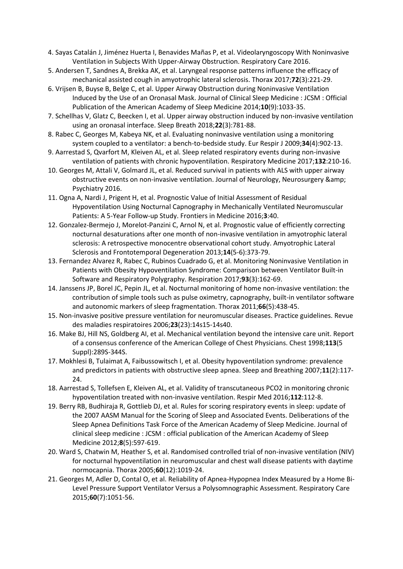- 4. Sayas Catalán J, Jiménez Huerta I, Benavides Mañas P, et al. Videolaryngoscopy With Noninvasive Ventilation in Subjects With Upper-Airway Obstruction. Respiratory Care 2016.
- 5. Andersen T, Sandnes A, Brekka AK, et al. Laryngeal response patterns influence the efficacy of mechanical assisted cough in amyotrophic lateral sclerosis. Thorax 2017;**72**(3):221-29.
- 6. Vrijsen B, Buyse B, Belge C, et al. Upper Airway Obstruction during Noninvasive Ventilation Induced by the Use of an Oronasal Mask. Journal of Clinical Sleep Medicine : JCSM : Official Publication of the American Academy of Sleep Medicine 2014;**10**(9):1033-35.
- 7. Schellhas V, Glatz C, Beecken I, et al. Upper airway obstruction induced by non-invasive ventilation using an oronasal interface. Sleep Breath 2018;**22**(3):781-88.
- 8. Rabec C, Georges M, Kabeya NK, et al. Evaluating noninvasive ventilation using a monitoring system coupled to a ventilator: a bench-to-bedside study. Eur Respir J 2009;**34**(4):902-13.
- 9. Aarrestad S, Qvarfort M, Kleiven AL, et al. Sleep related respiratory events during non-invasive ventilation of patients with chronic hypoventilation. Respiratory Medicine 2017;**132**:210-16.
- 10. Georges M, Attali V, Golmard JL, et al. Reduced survival in patients with ALS with upper airway obstructive events on non-invasive ventilation. Journal of Neurology, Neurosurgery & Psychiatry 2016.
- 11. Ogna A, Nardi J, Prigent H, et al. Prognostic Value of Initial Assessment of Residual Hypoventilation Using Nocturnal Capnography in Mechanically Ventilated Neuromuscular Patients: A 5-Year Follow-up Study. Frontiers in Medicine 2016;**3**:40.
- 12. Gonzalez-Bermejo J, Morelot-Panzini C, Arnol N, et al. Prognostic value of efficiently correcting nocturnal desaturations after one month of non-invasive ventilation in amyotrophic lateral sclerosis: A retrospective monocentre observational cohort study. Amyotrophic Lateral Sclerosis and Frontotemporal Degeneration 2013;**14**(5-6):373-79.
- 13. Fernandez Alvarez R, Rabec C, Rubinos Cuadrado G, et al. Monitoring Noninvasive Ventilation in Patients with Obesity Hypoventilation Syndrome: Comparison between Ventilator Built-in Software and Respiratory Polygraphy. Respiration 2017;**93**(3):162-69.
- 14. Janssens JP, Borel JC, Pepin JL, et al. Nocturnal monitoring of home non-invasive ventilation: the contribution of simple tools such as pulse oximetry, capnography, built-in ventilator software and autonomic markers of sleep fragmentation. Thorax 2011;**66**(5):438-45.
- 15. Non-invasive positive pressure ventilation for neuromuscular diseases. Practice guidelines. Revue des maladies respiratoires 2006;**23**(23):14s15-14s40.
- 16. Make BJ, Hill NS, Goldberg AI, et al. Mechanical ventilation beyond the intensive care unit. Report of a consensus conference of the American College of Chest Physicians. Chest 1998;**113**(5 Suppl):289S-344S.
- 17. Mokhlesi B, Tulaimat A, Faibussowitsch I, et al. Obesity hypoventilation syndrome: prevalence and predictors in patients with obstructive sleep apnea. Sleep and Breathing 2007;**11**(2):117- 24.
- 18. Aarrestad S, Tollefsen E, Kleiven AL, et al. Validity of transcutaneous PCO2 in monitoring chronic hypoventilation treated with non-invasive ventilation. Respir Med 2016;**112**:112-8.
- 19. Berry RB, Budhiraja R, Gottlieb DJ, et al. Rules for scoring respiratory events in sleep: update of the 2007 AASM Manual for the Scoring of Sleep and Associated Events. Deliberations of the Sleep Apnea Definitions Task Force of the American Academy of Sleep Medicine. Journal of clinical sleep medicine : JCSM : official publication of the American Academy of Sleep Medicine 2012;**8**(5):597-619.
- 20. Ward S, Chatwin M, Heather S, et al. Randomised controlled trial of non-invasive ventilation (NIV) for nocturnal hypoventilation in neuromuscular and chest wall disease patients with daytime normocapnia. Thorax 2005;**60**(12):1019-24.
- 21. Georges M, Adler D, Contal O, et al. Reliability of Apnea-Hypopnea Index Measured by a Home Bi-Level Pressure Support Ventilator Versus a Polysomnographic Assessment. Respiratory Care 2015;**60**(7):1051-56.